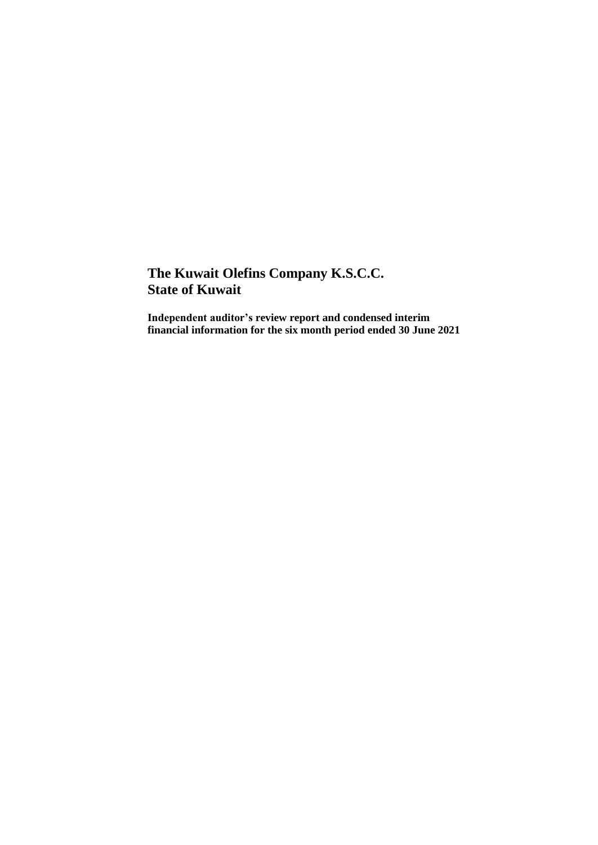**Independent auditor's review report and condensed interim financial information for the six month period ended 30 June 2021**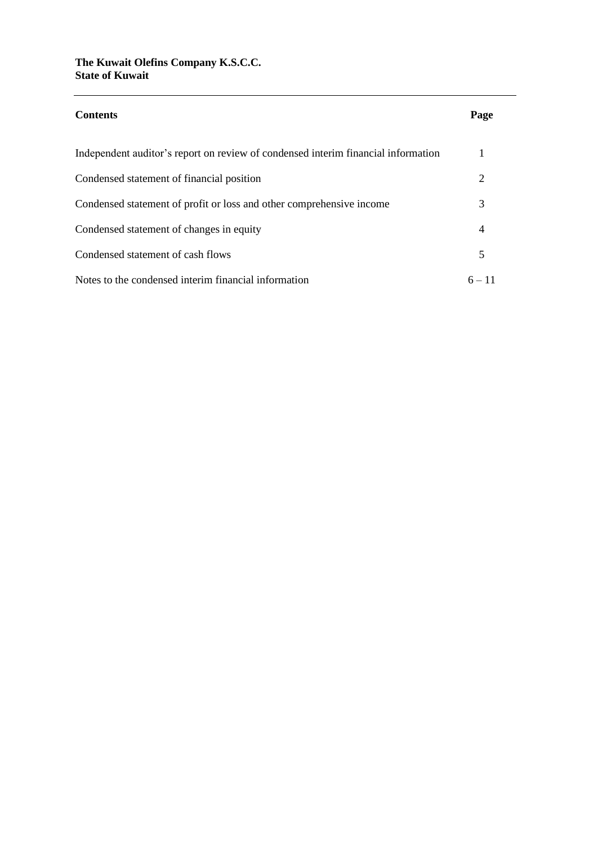| <b>Contents</b>                                                                   | Page                        |
|-----------------------------------------------------------------------------------|-----------------------------|
| Independent auditor's report on review of condensed interim financial information |                             |
| Condensed statement of financial position                                         | $\mathcal{D}_{\mathcal{L}}$ |
| Condensed statement of profit or loss and other comprehensive income              | 3                           |
| Condensed statement of changes in equity                                          | 4                           |
| Condensed statement of cash flows                                                 | 5                           |
| Notes to the condensed interim financial information                              | $6 - 11$                    |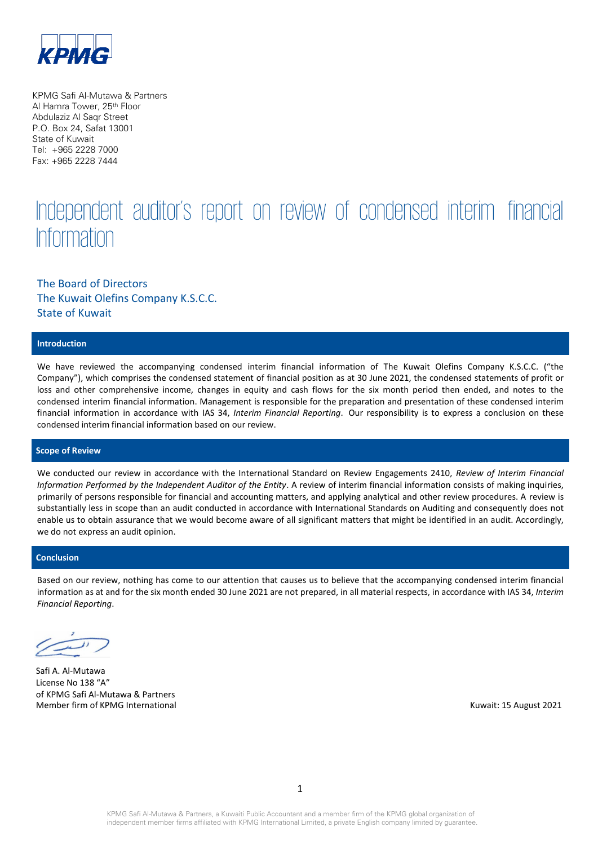

KPMG Safi Al-Mutawa & Partners Al Hamra Tower, 25th Floor Abdulaziz Al Saqr Street P.O. Box 24, Safat 13001 State of Kuwait Tel: +965 2228 7000 Fax: +965 2228 7444

# Independent auditor's report on review of condensed interim financial **Information**

## The Board of Directors The Kuwait Olefins Company K.S.C.C. State of Kuwait

#### **Introduction**

We have reviewed the accompanying condensed interim financial information of The Kuwait Olefins Company K.S.C.C. ("the Company"), which comprises the condensed statement of financial position as at 30 June 2021, the condensed statements of profit or loss and other comprehensive income, changes in equity and cash flows for the six month period then ended, and notes to the condensed interim financial information. Management is responsible for the preparation and presentation of these condensed interim financial information in accordance with IAS 34, *Interim Financial Reporting*. Our responsibility is to express a conclusion on these condensed interim financial information based on our review.

#### **Scope of Review**

We conducted our review in accordance with the International Standard on Review Engagements 2410, *Review of Interim Financial Information Performed by the Independent Auditor of the Entity*. A review of interim financial information consists of making inquiries, primarily of persons responsible for financial and accounting matters, and applying analytical and other review procedures. A review is substantially less in scope than an audit conducted in accordance with International Standards on Auditing and consequently does not enable us to obtain assurance that we would become aware of all significant matters that might be identified in an audit. Accordingly, we do not express an audit opinion.

#### **Conclusion**

Based on our review, nothing has come to our attention that causes us to believe that the accompanying condensed interim financial information as at and for the six month ended 30 June 2021 are not prepared, in all material respects, in accordance with IAS 34, *Interim Financial Reporting*.

Safi A. Al-Mutawa License No 138 "A" of KPMG Safi Al-Mutawa & Partners Member firm of KPMG International Number of August 2021 and August 2021 and August 2021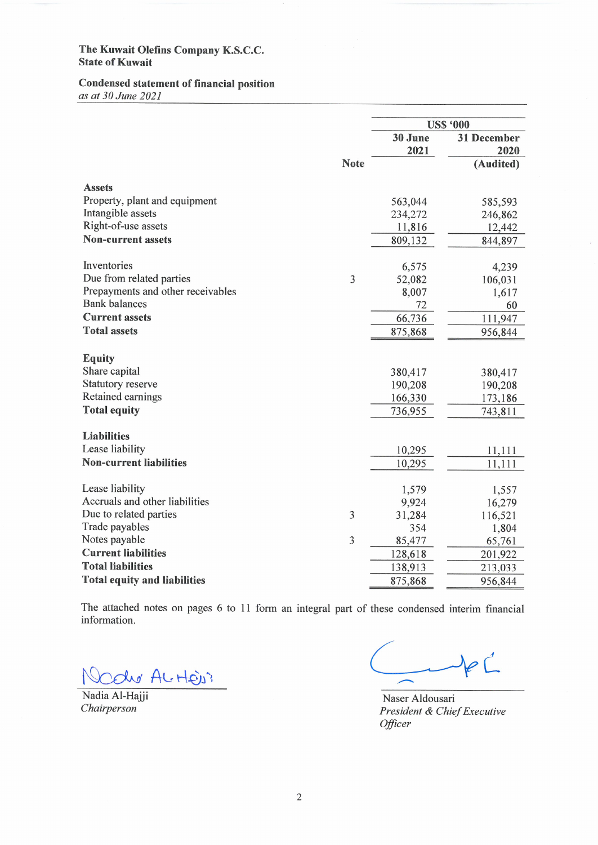# **Condensed statement of financial position**

as at 30 June 2021

|                                     |                |                 | <b>US\$ '000</b>           |
|-------------------------------------|----------------|-----------------|----------------------------|
|                                     |                | 30 June<br>2021 | <b>31 December</b><br>2020 |
|                                     | <b>Note</b>    |                 | (Audited)                  |
|                                     |                |                 |                            |
| <b>Assets</b>                       |                |                 |                            |
| Property, plant and equipment       |                | 563,044         | 585,593                    |
| Intangible assets                   |                | 234,272         | 246,862                    |
| Right-of-use assets                 |                | 11,816          | 12,442                     |
| <b>Non-current assets</b>           |                | 809,132         | 844,897                    |
| Inventories                         |                | 6,575           | 4,239                      |
| Due from related parties            | 3              | 52,082          | 106,031                    |
| Prepayments and other receivables   |                | 8,007           | 1,617                      |
| <b>Bank</b> balances                |                | 72              | 60                         |
| <b>Current assets</b>               |                | 66,736          | 111,947                    |
| <b>Total assets</b>                 |                | 875,868         | 956,844                    |
| <b>Equity</b>                       |                |                 |                            |
| Share capital                       |                | 380,417         | 380,417                    |
| <b>Statutory reserve</b>            |                | 190,208         | 190,208                    |
| Retained earnings                   |                | 166,330         | 173,186                    |
| <b>Total equity</b>                 |                |                 |                            |
|                                     |                | 736,955         | 743,811                    |
| <b>Liabilities</b>                  |                |                 |                            |
| Lease liability                     |                | 10,295          | 11,111                     |
| <b>Non-current liabilities</b>      |                | 10,295          | 11,111                     |
| Lease liability                     |                | 1,579           | 1,557                      |
| Accruals and other liabilities      |                | 9,924           | 16,279                     |
| Due to related parties              | 3              | 31,284          | 116,521                    |
| Trade payables                      |                | 354             | 1,804                      |
| Notes payable                       | $\overline{3}$ | 85,477          | 65,761                     |
| <b>Current liabilities</b>          |                | 128,618         | 201,922                    |
| <b>Total liabilities</b>            |                | 138,913         | 213,033                    |
| <b>Total equity and liabilities</b> |                | 875,868         | 956,844                    |
|                                     |                |                 |                            |

The attached notes on pages 6 to 11 form an integral part of these condensed interim financial information.

du AL HEU?

Nadia Al-Hajji Chairperson

 $P^{\prime}$ 

Naser Aldousari President & Chief Executive Officer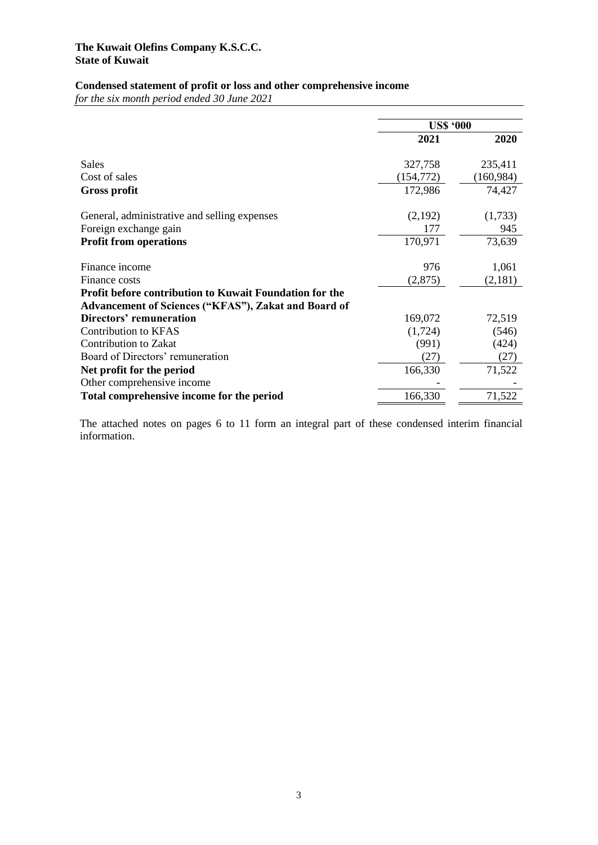# **Condensed statement of profit or loss and other comprehensive income**

*for the six month period ended 30 June 2021*

|                                                                | <b>USS '000</b> |             |
|----------------------------------------------------------------|-----------------|-------------|
|                                                                | 2021            | <b>2020</b> |
| Sales                                                          | 327,758         | 235,411     |
| Cost of sales                                                  | (154, 772)      | (160, 984)  |
| Gross profit                                                   | 172,986         | 74,427      |
| General, administrative and selling expenses                   | (2,192)         | (1,733)     |
| Foreign exchange gain                                          | 177             | 945         |
| <b>Profit from operations</b>                                  | 170,971         | 73,639      |
| Finance income                                                 | 976             | 1,061       |
| Finance costs                                                  | (2,875)         | (2,181)     |
| <b>Profit before contribution to Kuwait Foundation for the</b> |                 |             |
| Advancement of Sciences ("KFAS"), Zakat and Board of           |                 |             |
| Directors' remuneration                                        | 169,072         | 72,519      |
| <b>Contribution to KFAS</b>                                    | (1,724)         | (546)       |
| Contribution to Zakat                                          | (991)           | (424)       |
| Board of Directors' remuneration                               | (27)            | (27)        |
| Net profit for the period                                      | 166,330         | 71,522      |
| Other comprehensive income                                     |                 |             |
| Total comprehensive income for the period                      | 166,330         | 71,522      |

The attached notes on pages 6 to 11 form an integral part of these condensed interim financial information.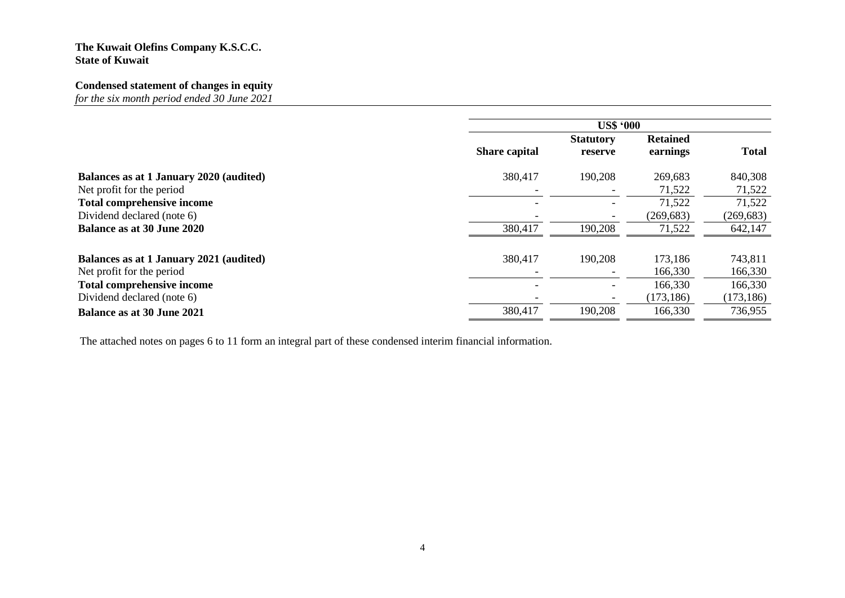# **Condensed statement of changes in equity**

*for the six month period ended 30 June 2021*

|                                         | <b>US\$ '000</b>     |                  |                 |              |
|-----------------------------------------|----------------------|------------------|-----------------|--------------|
|                                         |                      | <b>Statutory</b> | <b>Retained</b> |              |
|                                         | <b>Share capital</b> | reserve          | earnings        | <b>Total</b> |
| Balances as at 1 January 2020 (audited) | 380,417              | 190,208          | 269,683         | 840,308      |
| Net profit for the period               |                      |                  | 71,522          | 71,522       |
| Total comprehensive income              |                      |                  | 71,522          | 71,522       |
| Dividend declared (note 6)              |                      |                  | (269, 683)      | (269, 683)   |
| <b>Balance as at 30 June 2020</b>       | 380,417              | 190,208          | 71,522          | 642,147      |
|                                         |                      |                  |                 |              |
| Balances as at 1 January 2021 (audited) | 380,417              | 190,208          | 173,186         | 743,811      |
| Net profit for the period               |                      |                  | 166,330         | 166,330      |
| <b>Total comprehensive income</b>       |                      |                  | 166,330         | 166,330      |
| Dividend declared (note 6)              |                      |                  | (173, 186)      | (173, 186)   |
| <b>Balance as at 30 June 2021</b>       | 380,417              | 190,208          | 166,330         | 736,955      |

The attached notes on pages 6 to 11 form an integral part of these condensed interim financial information.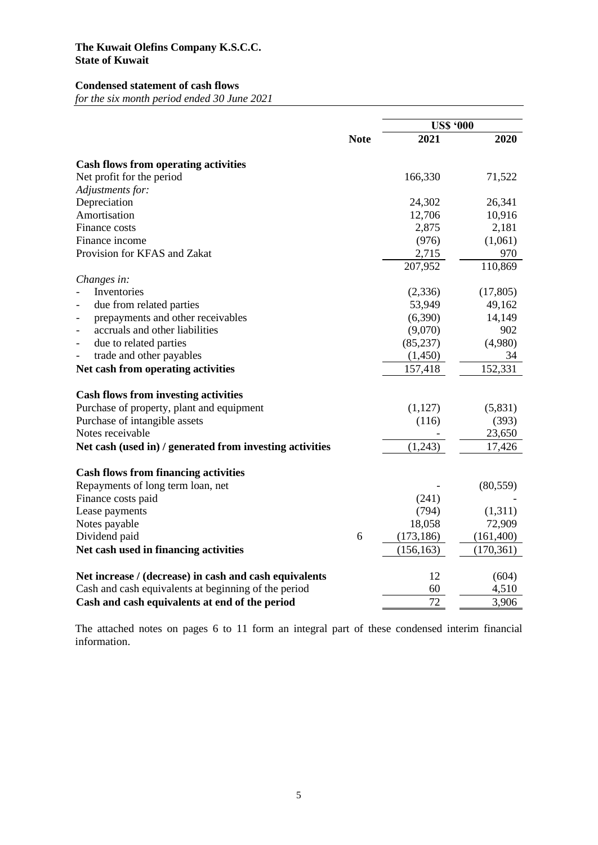#### **Condensed statement of cash flows**

*for the six month period ended 30 June 2021*

|                                                          |             | <b>US\$ '000</b> |            |
|----------------------------------------------------------|-------------|------------------|------------|
|                                                          | <b>Note</b> | 2021             | 2020       |
| <b>Cash flows from operating activities</b>              |             |                  |            |
| Net profit for the period                                |             | 166,330          | 71,522     |
| Adjustments for:                                         |             |                  |            |
| Depreciation                                             |             | 24,302           | 26,341     |
| Amortisation                                             |             | 12,706           | 10,916     |
| Finance costs                                            |             | 2,875            | 2,181      |
| Finance income                                           |             | (976)            | (1,061)    |
| Provision for KFAS and Zakat                             |             | 2,715            | 970        |
|                                                          |             | 207,952          | 110,869    |
| Changes in:                                              |             |                  |            |
| Inventories                                              |             | (2, 336)         | (17, 805)  |
| due from related parties                                 |             | 53,949           | 49,162     |
| prepayments and other receivables                        |             | (6,390)          | 14,149     |
| accruals and other liabilities                           |             | (9,070)          | 902        |
| due to related parties<br>$\overline{\phantom{0}}$       |             | (85, 237)        | (4,980)    |
| trade and other payables                                 |             | (1,450)          | 34         |
| Net cash from operating activities                       |             | 157,418          | 152,331    |
| <b>Cash flows from investing activities</b>              |             |                  |            |
| Purchase of property, plant and equipment                |             | (1,127)          | (5,831)    |
| Purchase of intangible assets                            |             | (116)            | (393)      |
| Notes receivable                                         |             |                  | 23,650     |
| Net cash (used in) / generated from investing activities |             | (1,243)          | 17,426     |
|                                                          |             |                  |            |
| <b>Cash flows from financing activities</b>              |             |                  |            |
| Repayments of long term loan, net                        |             |                  | (80, 559)  |
| Finance costs paid                                       |             | (241)            |            |
| Lease payments                                           |             | (794)            | (1,311)    |
| Notes payable                                            |             | 18,058           | 72,909     |
| Dividend paid                                            | 6           | (173, 186)       | (161, 400) |
| Net cash used in financing activities                    |             | (156, 163)       | (170, 361) |
| Net increase / (decrease) in cash and cash equivalents   |             | 12               | (604)      |
| Cash and cash equivalents at beginning of the period     |             | 60               | 4,510      |
| Cash and cash equivalents at end of the period           |             | 72               | 3,906      |

The attached notes on pages 6 to 11 form an integral part of these condensed interim financial information.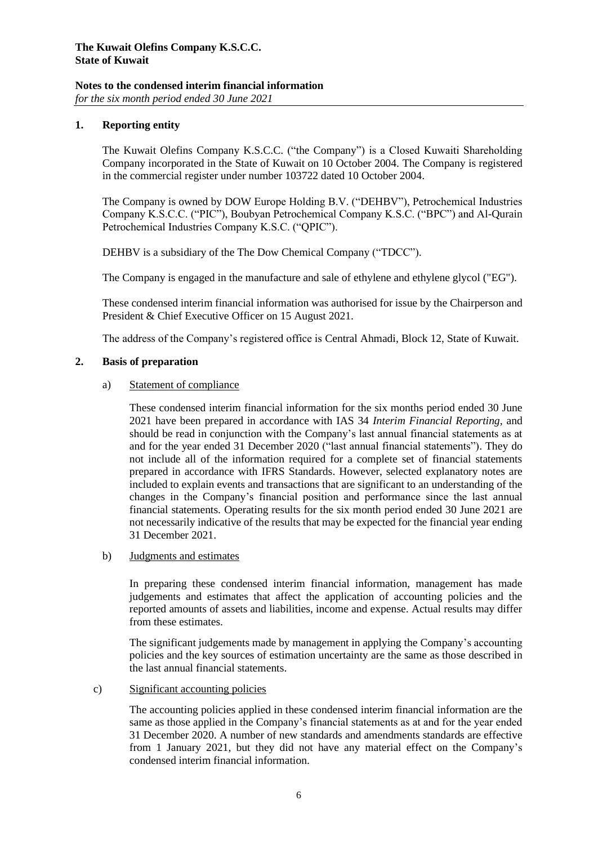# **Notes to the condensed interim financial information**

*for the six month period ended 30 June 2021*

#### **1. Reporting entity**

The Kuwait Olefins Company K.S.C.C. ("the Company") is a Closed Kuwaiti Shareholding Company incorporated in the State of Kuwait on 10 October 2004. The Company is registered in the commercial register under number 103722 dated 10 October 2004.

The Company is owned by DOW Europe Holding B.V. ("DEHBV"), Petrochemical Industries Company K.S.C.C. ("PIC"), Boubyan Petrochemical Company K.S.C. ("BPC") and Al-Qurain Petrochemical Industries Company K.S.C. ("QPIC").

DEHBV is a subsidiary of the The Dow Chemical Company ("TDCC").

The Company is engaged in the manufacture and sale of ethylene and ethylene glycol ("EG").

These condensed interim financial information was authorised for issue by the Chairperson and President & Chief Executive Officer on 15 August 2021.

The address of the Company's registered office is Central Ahmadi, Block 12, State of Kuwait.

#### **2. Basis of preparation**

#### a) Statement of compliance

These condensed interim financial information for the six months period ended 30 June 2021 have been prepared in accordance with IAS 34 *Interim Financial Reporting*, and should be read in conjunction with the Company's last annual financial statements as at and for the year ended 31 December 2020 ("last annual financial statements"). They do not include all of the information required for a complete set of financial statements prepared in accordance with IFRS Standards. However, selected explanatory notes are included to explain events and transactions that are significant to an understanding of the changes in the Company's financial position and performance since the last annual financial statements. Operating results for the six month period ended 30 June 2021 are not necessarily indicative of the results that may be expected for the financial year ending 31 December 2021.

#### b) Judgments and estimates

In preparing these condensed interim financial information, management has made judgements and estimates that affect the application of accounting policies and the reported amounts of assets and liabilities, income and expense. Actual results may differ from these estimates.

The significant judgements made by management in applying the Company's accounting policies and the key sources of estimation uncertainty are the same as those described in the last annual financial statements.

#### c) Significant accounting policies

The accounting policies applied in these condensed interim financial information are the same as those applied in the Company's financial statements as at and for the year ended 31 December 2020. A number of new standards and amendments standards are effective from 1 January 2021, but they did not have any material effect on the Company's condensed interim financial information.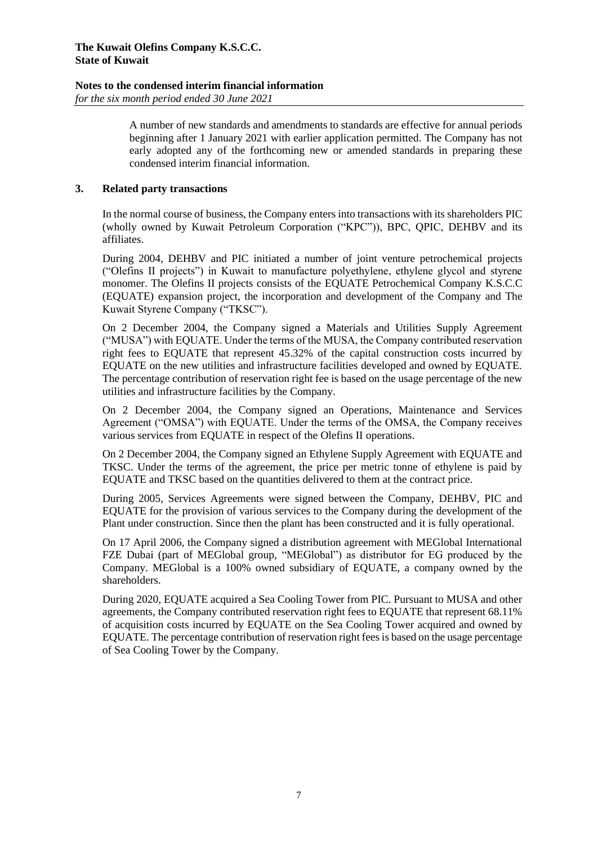# **Notes to the condensed interim financial information**

*for the six month period ended 30 June 2021*

A number of new standards and amendments to standards are effective for annual periods beginning after 1 January 2021 with earlier application permitted. The Company has not early adopted any of the forthcoming new or amended standards in preparing these condensed interim financial information.

#### **3. Related party transactions**

In the normal course of business, the Company enters into transactions with its shareholders PIC (wholly owned by Kuwait Petroleum Corporation ("KPC")), BPC, QPIC, DEHBV and its affiliates.

During 2004, DEHBV and PIC initiated a number of joint venture petrochemical projects ("Olefins II projects") in Kuwait to manufacture polyethylene, ethylene glycol and styrene monomer. The Olefins II projects consists of the EQUATE Petrochemical Company K.S.C.C (EQUATE) expansion project, the incorporation and development of the Company and The Kuwait Styrene Company ("TKSC").

On 2 December 2004, the Company signed a Materials and Utilities Supply Agreement ("MUSA") with EQUATE. Under the terms of the MUSA, the Company contributed reservation right fees to EQUATE that represent 45.32% of the capital construction costs incurred by EQUATE on the new utilities and infrastructure facilities developed and owned by EQUATE. The percentage contribution of reservation right fee is based on the usage percentage of the new utilities and infrastructure facilities by the Company.

On 2 December 2004, the Company signed an Operations, Maintenance and Services Agreement ("OMSA") with EQUATE. Under the terms of the OMSA, the Company receives various services from EQUATE in respect of the Olefins II operations.

On 2 December 2004, the Company signed an Ethylene Supply Agreement with EQUATE and TKSC. Under the terms of the agreement, the price per metric tonne of ethylene is paid by EQUATE and TKSC based on the quantities delivered to them at the contract price.

During 2005, Services Agreements were signed between the Company, DEHBV, PIC and EQUATE for the provision of various services to the Company during the development of the Plant under construction. Since then the plant has been constructed and it is fully operational.

On 17 April 2006, the Company signed a distribution agreement with MEGlobal International FZE Dubai (part of MEGlobal group, "MEGlobal") as distributor for EG produced by the Company. MEGlobal is a 100% owned subsidiary of EQUATE, a company owned by the shareholders.

During 2020, EQUATE acquired a Sea Cooling Tower from PIC. Pursuant to MUSA and other agreements, the Company contributed reservation right fees to EQUATE that represent 68.11% of acquisition costs incurred by EQUATE on the Sea Cooling Tower acquired and owned by EQUATE. The percentage contribution of reservation right fees is based on the usage percentage of Sea Cooling Tower by the Company.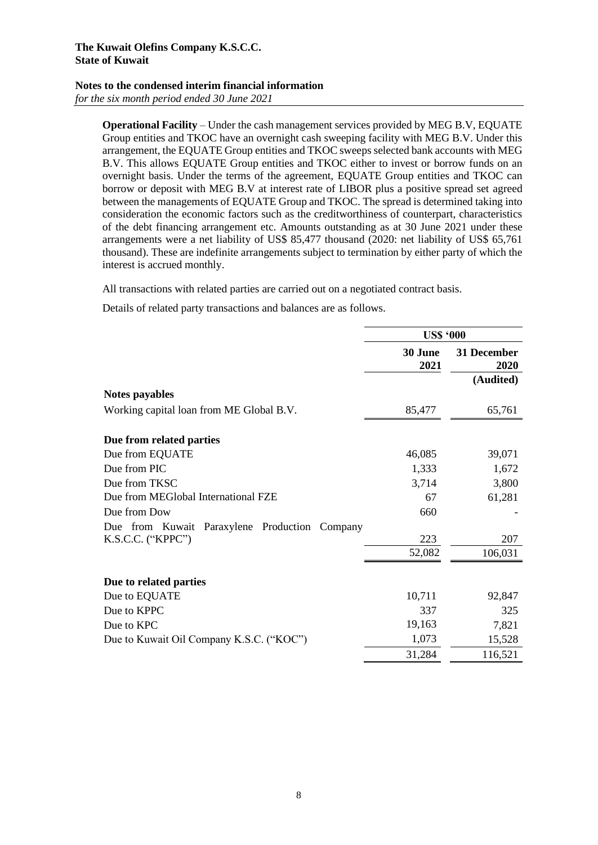#### **Notes to the condensed interim financial information**

*for the six month period ended 30 June 2021*

**Operational Facility** – Under the cash management services provided by MEG B.V, EQUATE Group entities and TKOC have an overnight cash sweeping facility with MEG B.V. Under this arrangement, the EQUATE Group entities and TKOC sweeps selected bank accounts with MEG B.V. This allows EQUATE Group entities and TKOC either to invest or borrow funds on an overnight basis. Under the terms of the agreement, EQUATE Group entities and TKOC can borrow or deposit with MEG B.V at interest rate of LIBOR plus a positive spread set agreed between the managements of EQUATE Group and TKOC. The spread is determined taking into consideration the economic factors such as the creditworthiness of counterpart, characteristics of the debt financing arrangement etc. Amounts outstanding as at 30 June 2021 under these arrangements were a net liability of US\$ 85,477 thousand (2020: net liability of US\$ 65,761 thousand). These are indefinite arrangements subject to termination by either party of which the interest is accrued monthly.

All transactions with related parties are carried out on a negotiated contract basis.

Details of related party transactions and balances are as follows.

|                                                  | <b>US\$ '000</b> |                     |
|--------------------------------------------------|------------------|---------------------|
|                                                  | 30 June<br>2021  | 31 December<br>2020 |
|                                                  |                  | (Audited)           |
| Notes payables                                   |                  |                     |
| Working capital loan from ME Global B.V.         | 85,477           | 65,761              |
| Due from related parties                         |                  |                     |
| Due from EQUATE                                  | 46,085           | 39,071              |
| Due from PIC                                     | 1,333            | 1,672               |
| Due from TKSC                                    | 3,714            | 3,800               |
| Due from MEGlobal International FZE              | 67               | 61,281              |
| Due from Dow                                     | 660              |                     |
| Due from Kuwait Paraxylene Production<br>Company |                  |                     |
| $K.S.C.C.$ (" $KPPC"$ ")                         | 223              | 207                 |
|                                                  | 52,082           | 106,031             |
| Due to related parties                           |                  |                     |
| Due to EQUATE                                    | 10,711           | 92,847              |
| Due to KPPC                                      | 337              | 325                 |
| Due to KPC                                       | 19,163           | 7,821               |
| Due to Kuwait Oil Company K.S.C. ("KOC")         | 1,073            | 15,528              |
|                                                  | 31,284           | 116,521             |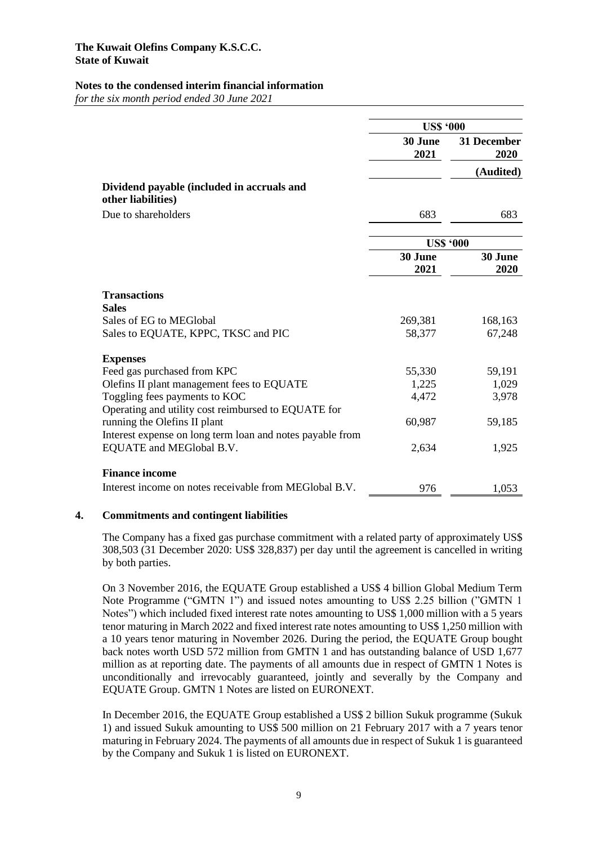#### **Notes to the condensed interim financial information**

*for the six month period ended 30 June 2021*

|                                                                                     | <b>US\$ '000</b> |                     |
|-------------------------------------------------------------------------------------|------------------|---------------------|
|                                                                                     | 30 June<br>2021  | 31 December<br>2020 |
|                                                                                     |                  | (Audited)           |
| Dividend payable (included in accruals and<br>other liabilities)                    |                  |                     |
| Due to shareholders                                                                 | 683              | 683                 |
|                                                                                     | <b>US\$ '000</b> |                     |
|                                                                                     | 30 June          | 30 June             |
|                                                                                     | 2021             | 2020                |
| <b>Transactions</b><br><b>Sales</b>                                                 |                  |                     |
| Sales of EG to MEGlobal                                                             | 269,381          | 168,163             |
| Sales to EQUATE, KPPC, TKSC and PIC                                                 | 58,377           | 67,248              |
| <b>Expenses</b>                                                                     |                  |                     |
| Feed gas purchased from KPC                                                         | 55,330           | 59,191              |
| Olefins II plant management fees to EQUATE                                          | 1,225            | 1,029               |
| Toggling fees payments to KOC                                                       | 4,472            | 3,978               |
| Operating and utility cost reimbursed to EQUATE for<br>running the Olefins II plant | 60,987           | 59,185              |
| Interest expense on long term loan and notes payable from                           |                  |                     |
| EQUATE and MEGlobal B.V.                                                            | 2,634            | 1,925               |
| <b>Finance income</b>                                                               |                  |                     |
| Interest income on notes receivable from MEGlobal B.V.                              | 976              | 1,053               |

#### **4. Commitments and contingent liabilities**

The Company has a fixed gas purchase commitment with a related party of approximately US\$ 308,503 (31 December 2020: US\$ 328,837) per day until the agreement is cancelled in writing by both parties.

On 3 November 2016, the EQUATE Group established a US\$ 4 billion Global Medium Term Note Programme ("GMTN 1") and issued notes amounting to US\$ 2.25 billion ("GMTN 1 Notes") which included fixed interest rate notes amounting to US\$ 1,000 million with a 5 years tenor maturing in March 2022 and fixed interest rate notes amounting to US\$ 1,250 million with a 10 years tenor maturing in November 2026. During the period, the EQUATE Group bought back notes worth USD 572 million from GMTN 1 and has outstanding balance of USD 1,677 million as at reporting date. The payments of all amounts due in respect of GMTN 1 Notes is unconditionally and irrevocably guaranteed, jointly and severally by the Company and EQUATE Group. GMTN 1 Notes are listed on EURONEXT.

In December 2016, the EQUATE Group established a US\$ 2 billion Sukuk programme (Sukuk 1) and issued Sukuk amounting to US\$ 500 million on 21 February 2017 with a 7 years tenor maturing in February 2024. The payments of all amounts due in respect of Sukuk 1 is guaranteed by the Company and Sukuk 1 is listed on EURONEXT.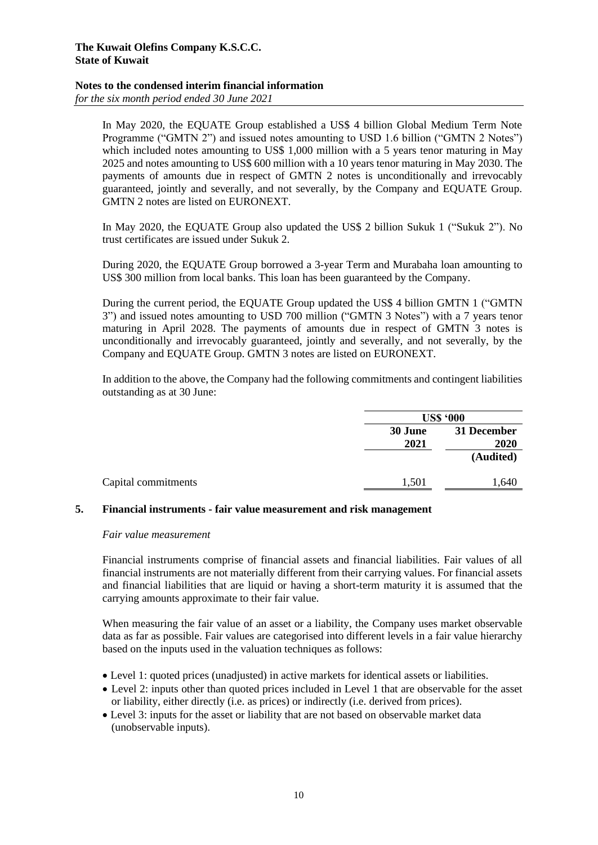### **Notes to the condensed interim financial information**

*for the six month period ended 30 June 2021*

In May 2020, the EQUATE Group established a US\$ 4 billion Global Medium Term Note Programme ("GMTN 2") and issued notes amounting to USD 1.6 billion ("GMTN 2 Notes") which included notes amounting to US\$ 1,000 million with a 5 years tenor maturing in May 2025 and notes amounting to US\$ 600 million with a 10 years tenor maturing in May 2030. The payments of amounts due in respect of GMTN 2 notes is unconditionally and irrevocably guaranteed, jointly and severally, and not severally, by the Company and EQUATE Group. GMTN 2 notes are listed on EURONEXT.

In May 2020, the EQUATE Group also updated the US\$ 2 billion Sukuk 1 ("Sukuk 2"). No trust certificates are issued under Sukuk 2.

During 2020, the EQUATE Group borrowed a 3-year Term and Murabaha loan amounting to US\$ 300 million from local banks. This loan has been guaranteed by the Company.

During the current period, the EQUATE Group updated the US\$ 4 billion GMTN 1 ("GMTN 3") and issued notes amounting to USD 700 million ("GMTN 3 Notes") with a 7 years tenor maturing in April 2028. The payments of amounts due in respect of GMTN 3 notes is unconditionally and irrevocably guaranteed, jointly and severally, and not severally, by the Company and EQUATE Group. GMTN 3 notes are listed on EURONEXT.

In addition to the above, the Company had the following commitments and contingent liabilities outstanding as at 30 June:

|                 | <b>US\$ '000</b>    |  |
|-----------------|---------------------|--|
| 30 June<br>2021 | 31 December<br>2020 |  |
|                 | (Audited)           |  |
| 1,501           | .,640               |  |

#### **5. Financial instruments - fair value measurement and risk management**

#### *Fair value measurement*

Financial instruments comprise of financial assets and financial liabilities. Fair values of all financial instruments are not materially different from their carrying values. For financial assets and financial liabilities that are liquid or having a short-term maturity it is assumed that the carrying amounts approximate to their fair value.

When measuring the fair value of an asset or a liability, the Company uses market observable data as far as possible. Fair values are categorised into different levels in a fair value hierarchy based on the inputs used in the valuation techniques as follows:

- Level 1: quoted prices (unadjusted) in active markets for identical assets or liabilities.
- Level 2: inputs other than quoted prices included in Level 1 that are observable for the asset or liability, either directly (i.e. as prices) or indirectly (i.e. derived from prices).
- Level 3: inputs for the asset or liability that are not based on observable market data (unobservable inputs).